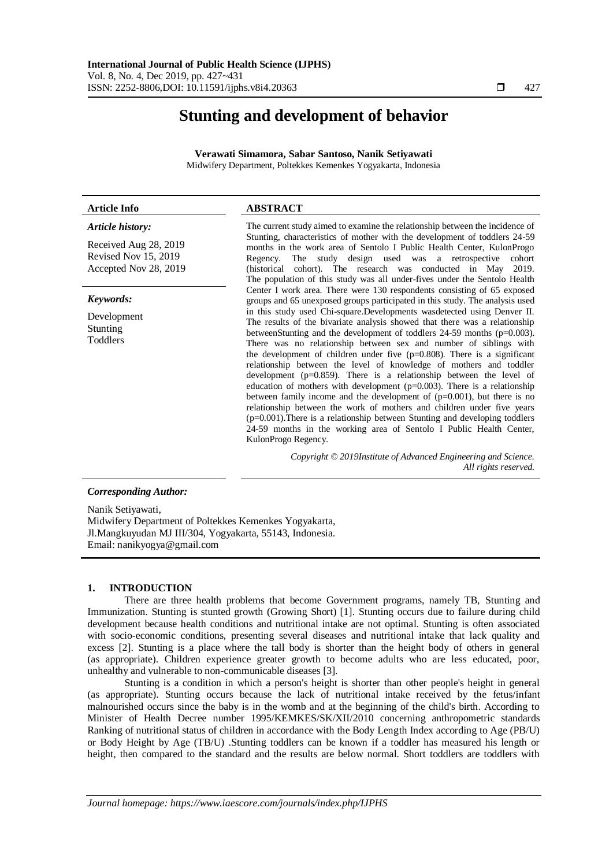# **Stunting and development of behavior**

**Verawati Simamora, Sabar Santoso, Nanik Setiyawati** Midwifery Department, Poltekkes Kemenkes Yogyakarta, Indonesia

# **Article Info ABSTRACT**

### *Article history:*

Received Aug 28, 2019 Revised Nov 15, 2019 Accepted Nov 28, 2019

#### *Keywords:*

Development Stunting Toddlers

The current study aimed to examine the relationship between the incidence of Stunting, characteristics of mother with the development of toddlers 24-59 months in the work area of Sentolo I Public Health Center, KulonProgo Regency. The study design used was a retrospective cohort (historical cohort). The research was conducted in May 2019. The population of this study was all under-fives under the Sentolo Health Center I work area. There were 130 respondents consisting of 65 exposed groups and 65 unexposed groups participated in this study. The analysis used in this study used Chi-square.Developments wasdetected using Denver II. The results of the bivariate analysis showed that there was a relationship betweenStunting and the development of toddlers 24-59 months (p=0.003). There was no relationship between sex and number of siblings with the development of children under five  $(p=0.808)$ . There is a significant relationship between the level of knowledge of mothers and toddler development (p=0.859). There is a relationship between the level of education of mothers with development ( $p=0.003$ ). There is a relationship between family income and the development of (p=0.001), but there is no relationship between the work of mothers and children under five years (p=0.001).There is a relationship between Stunting and developing toddlers 24-59 months in the working area of Sentolo I Public Health Center, KulonProgo Regency.

> *Copyright © 2019Institute of Advanced Engineering and Science. All rights reserved.*

# *Corresponding Author:*

Nanik Setiyawati, Midwifery Department of Poltekkes Kemenkes Yogyakarta, Jl.Mangkuyudan MJ III/304, Yogyakarta, 55143, Indonesia. Email: nanikyogya@gmail.com

# **1. INTRODUCTION**

There are three health problems that become Government programs, namely TB, Stunting and Immunization. Stunting is stunted growth (Growing Short) [1]. Stunting occurs due to failure during child development because health conditions and nutritional intake are not optimal. Stunting is often associated with socio-economic conditions, presenting several diseases and nutritional intake that lack quality and excess [2]. Stunting is a place where the tall body is shorter than the height body of others in general (as appropriate). Children experience greater growth to become adults who are less educated, poor, unhealthy and vulnerable to non-communicable diseases [3].

Stunting is a condition in which a person's height is shorter than other people's height in general (as appropriate). Stunting occurs because the lack of nutritional intake received by the fetus/infant malnourished occurs since the baby is in the womb and at the beginning of the child's birth. According to Minister of Health Decree number 1995/KEMKES/SK/XII/2010 concerning anthropometric standards Ranking of nutritional status of children in accordance with the Body Length Index according to Age (PB/U) or Body Height by Age (TB/U) .Stunting toddlers can be known if a toddler has measured his length or height, then compared to the standard and the results are below normal. Short toddlers are toddlers with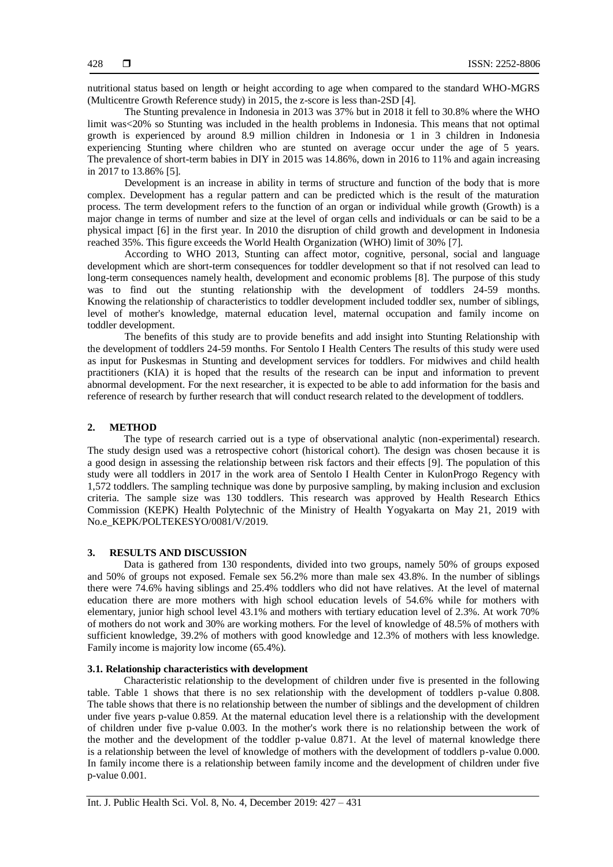nutritional status based on length or height according to age when compared to the standard WHO-MGRS (Multicentre Growth Reference study) in 2015, the z-score is less than-2SD [4].

The Stunting prevalence in Indonesia in 2013 was 37% but in 2018 it fell to 30.8% where the WHO limit was<20% so Stunting was included in the health problems in Indonesia. This means that not optimal growth is experienced by around 8.9 million children in Indonesia or 1 in 3 children in Indonesia experiencing Stunting where children who are stunted on average occur under the age of 5 years. The prevalence of short-term babies in DIY in 2015 was 14.86%, down in 2016 to 11% and again increasing in 2017 to 13.86% [5].

Development is an increase in ability in terms of structure and function of the body that is more complex. Development has a regular pattern and can be predicted which is the result of the maturation process. The term development refers to the function of an organ or individual while growth (Growth) is a major change in terms of number and size at the level of organ cells and individuals or can be said to be a physical impact [6] in the first year. In 2010 the disruption of child growth and development in Indonesia reached 35%. This figure exceeds the World Health Organization (WHO) limit of 30% [7].

According to WHO 2013, Stunting can affect motor, cognitive, personal, social and language development which are short-term consequences for toddler development so that if not resolved can lead to long-term consequences namely health, development and economic problems [8]. The purpose of this study was to find out the stunting relationship with the development of toddlers 24-59 months. Knowing the relationship of characteristics to toddler development included toddler sex, number of siblings, level of mother's knowledge, maternal education level, maternal occupation and family income on toddler development.

The benefits of this study are to provide benefits and add insight into Stunting Relationship with the development of toddlers 24-59 months. For Sentolo I Health Centers The results of this study were used as input for Puskesmas in Stunting and development services for toddlers. For midwives and child health practitioners (KIA) it is hoped that the results of the research can be input and information to prevent abnormal development. For the next researcher, it is expected to be able to add information for the basis and reference of research by further research that will conduct research related to the development of toddlers.

### **2. METHOD**

The type of research carried out is a type of observational analytic (non-experimental) research. The study design used was a retrospective cohort (historical cohort). The design was chosen because it is a good design in assessing the relationship between risk factors and their effects [9]. The population of this study were all toddlers in 2017 in the work area of Sentolo I Health Center in KulonProgo Regency with 1,572 toddlers. The sampling technique was done by purposive sampling, by making inclusion and exclusion criteria. The sample size was 130 toddlers. This research was approved by Health Research Ethics Commission (KEPK) Health Polytechnic of the Ministry of Health Yogyakarta on May 21, 2019 with No.e\_KEPK/POLTEKESYO/0081/V/2019.

# **3. RESULTS AND DISCUSSION**

Data is gathered from 130 respondents, divided into two groups, namely 50% of groups exposed and 50% of groups not exposed. Female sex 56.2% more than male sex 43.8%. In the number of siblings there were 74.6% having siblings and 25.4% toddlers who did not have relatives. At the level of maternal education there are more mothers with high school education levels of 54.6% while for mothers with elementary, junior high school level 43.1% and mothers with tertiary education level of 2.3%. At work 70% of mothers do not work and 30% are working mothers. For the level of knowledge of 48.5% of mothers with sufficient knowledge, 39.2% of mothers with good knowledge and 12.3% of mothers with less knowledge. Family income is majority low income (65.4%).

# **3.1. Relationship characteristics with development**

Characteristic relationship to the development of children under five is presented in the following table. Table 1 shows that there is no sex relationship with the development of toddlers p-value 0.808. The table shows that there is no relationship between the number of siblings and the development of children under five years p-value 0.859. At the maternal education level there is a relationship with the development of children under five p-value 0.003. In the mother's work there is no relationship between the work of the mother and the development of the toddler p-value 0.871. At the level of maternal knowledge there is a relationship between the level of knowledge of mothers with the development of toddlers p-value 0.000. In family income there is a relationship between family income and the development of children under five p-value 0.001.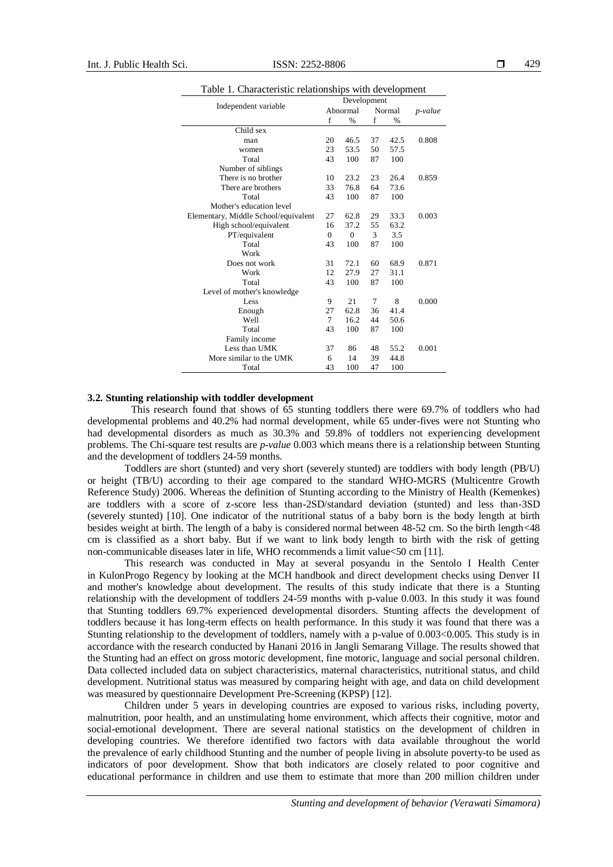|                                      | Development                      |          |        |               |         |
|--------------------------------------|----------------------------------|----------|--------|---------------|---------|
|                                      | Independent variable<br>Abnormal |          | Normal |               | p-value |
|                                      | f                                | $\%$     | f      | $\frac{0}{0}$ |         |
| Child sex                            |                                  |          |        |               |         |
| man                                  | 20                               | 46.5     | 37     | 42.5          | 0.808   |
| women                                | 23                               | 53.5     | 50     | 57.5          |         |
| Total                                | 43                               | 100      | 87     | 100           |         |
| Number of siblings                   |                                  |          |        |               |         |
| There is no brother                  | 10                               | 23.2     | 23     | 26.4          | 0.859   |
| There are brothers                   | 33                               | 76.8     | 64     | 73.6          |         |
| Total                                | 43                               | 100      | 87     | 100           |         |
| Mother's education level             |                                  |          |        |               |         |
| Elementary, Middle School/equivalent | 27                               | 62.8     | 29     | 33.3          | 0.003   |
| High school/equivalent               | 16                               | 37.2     | 55     | 63.2          |         |
| PT/equivalent                        | $\mathbf{0}$                     | $\theta$ | 3      | 3.5           |         |
| Total                                | 43                               | 100      | 87     | 100           |         |
| Work                                 |                                  |          |        |               |         |
| Does not work                        | 31                               | 72.1     | 60     | 68.9          | 0.871   |
| Work                                 | 12                               | 27.9     | 27     | 31.1          |         |
| Total                                | 43                               | 100      | 87     | 100           |         |
| Level of mother's knowledge          |                                  |          |        |               |         |
| Less                                 | 9                                | 21       | 7      | 8             | 0.000   |
| Enough                               | 27                               | 62.8     | 36     | 41.4          |         |
| Well                                 | $\tau$                           | 16.2     | 44     | 50.6          |         |
| Total                                | 43                               | 100      | 87     | 100           |         |
| Family income                        |                                  |          |        |               |         |
| Less than UMK                        | 37                               | 86       | 48     | 55.2          | 0.001   |
| More similar to the UMK              | 6                                | 14       | 39     | 44.8          |         |
| Total                                | 43                               | 100      | 47     | 100           |         |

| Table 1. Characteristic relationships with development |  |
|--------------------------------------------------------|--|
|--------------------------------------------------------|--|

#### **3.2. Stunting relationship with toddler development**

This research found that shows of 65 stunting toddlers there were 69.7% of toddlers who had developmental problems and 40.2% had normal development, while 65 under-fives were not Stunting who had developmental disorders as much as 30.3% and 59.8% of toddlers not experiencing development problems. The Chi-square test results are *p-value* 0.003 which means there is a relationship between Stunting and the development of toddlers 24-59 months.

Toddlers are short (stunted) and very short (severely stunted) are toddlers with body length (PB/U) or height (TB/U) according to their age compared to the standard WHO-MGRS (Multicentre Growth Reference Study) 2006. Whereas the definition of Stunting according to the Ministry of Health (Kemenkes) are toddlers with a score of z-score less than-2SD/standard deviation (stunted) and less than-3SD (severely stunted) [10]. One indicator of the nutritional status of a baby born is the body length at birth besides weight at birth. The length of a baby is considered normal between 48-52 cm. So the birth length<48 cm is classified as a short baby. But if we want to link body length to birth with the risk of getting non-communicable diseases later in life, WHO recommends a limit value<50 cm [11].

This research was conducted in May at several posyandu in the Sentolo I Health Center in KulonProgo Regency by looking at the MCH handbook and direct development checks using Denver II and mother's knowledge about development. The results of this study indicate that there is a Stunting relationship with the development of toddlers 24-59 months with p-value 0.003. In this study it was found that Stunting toddlers 69.7% experienced developmental disorders. Stunting affects the development of toddlers because it has long-term effects on health performance. In this study it was found that there was a Stunting relationship to the development of toddlers, namely with a p-value of 0.003<0.005. This study is in accordance with the research conducted by Hanani 2016 in Jangli Semarang Village. The results showed that the Stunting had an effect on gross motoric development, fine motoric, language and social personal children. Data collected included data on subject characteristics, maternal characteristics, nutritional status, and child development. Nutritional status was measured by comparing height with age, and data on child development was measured by questionnaire Development Pre-Screening (KPSP) [12].

Children under 5 years in developing countries are exposed to various risks, including poverty, malnutrition, poor health, and an unstimulating home environment, which affects their cognitive, motor and social-emotional development. There are several national statistics on the development of children in developing countries. We therefore identified two factors with data available throughout the world the prevalence of early childhood Stunting and the number of people living in absolute poverty-to be used as indicators of poor development. Show that both indicators are closely related to poor cognitive and educational performance in children and use them to estimate that more than 200 million children under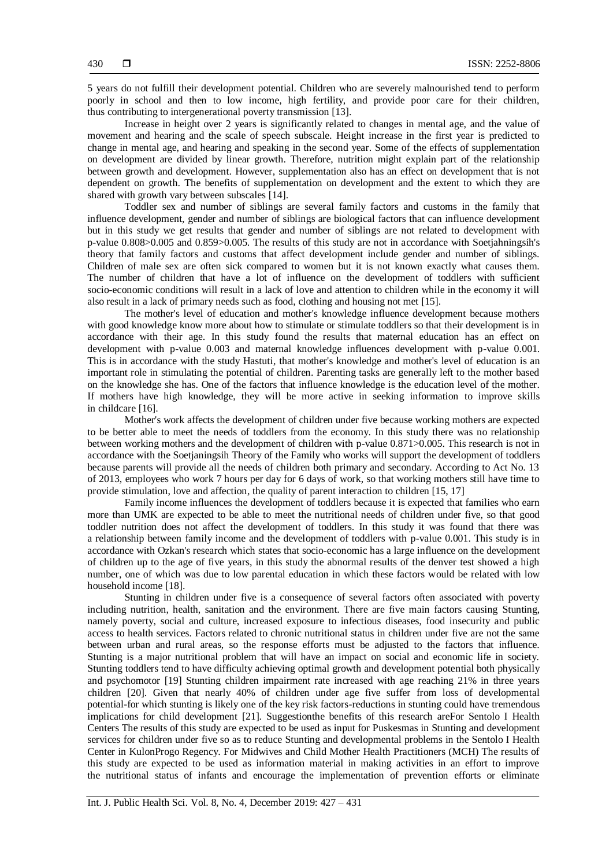5 years do not fulfill their development potential. Children who are severely malnourished tend to perform poorly in school and then to low income, high fertility, and provide poor care for their children, thus contributing to intergenerational poverty transmission [13].

Increase in height over 2 years is significantly related to changes in mental age, and the value of movement and hearing and the scale of speech subscale. Height increase in the first year is predicted to change in mental age, and hearing and speaking in the second year. Some of the effects of supplementation on development are divided by linear growth. Therefore, nutrition might explain part of the relationship between growth and development. However, supplementation also has an effect on development that is not dependent on growth. The benefits of supplementation on development and the extent to which they are shared with growth vary between subscales [14].

Toddler sex and number of siblings are several family factors and customs in the family that influence development, gender and number of siblings are biological factors that can influence development but in this study we get results that gender and number of siblings are not related to development with p-value 0.808>0.005 and 0.859>0.005. The results of this study are not in accordance with Soetjahningsih's theory that family factors and customs that affect development include gender and number of siblings. Children of male sex are often sick compared to women but it is not known exactly what causes them. The number of children that have a lot of influence on the development of toddlers with sufficient socio-economic conditions will result in a lack of love and attention to children while in the economy it will also result in a lack of primary needs such as food, clothing and housing not met [15].

The mother's level of education and mother's knowledge influence development because mothers with good knowledge know more about how to stimulate or stimulate toddlers so that their development is in accordance with their age. In this study found the results that maternal education has an effect on development with p-value 0.003 and maternal knowledge influences development with p-value 0.001. This is in accordance with the study Hastuti, that mother's knowledge and mother's level of education is an important role in stimulating the potential of children. Parenting tasks are generally left to the mother based on the knowledge she has. One of the factors that influence knowledge is the education level of the mother. If mothers have high knowledge, they will be more active in seeking information to improve skills in childcare [16].

Mother's work affects the development of children under five because working mothers are expected to be better able to meet the needs of toddlers from the economy. In this study there was no relationship between working mothers and the development of children with p-value 0.871>0.005. This research is not in accordance with the Soetjaningsih Theory of the Family who works will support the development of toddlers because parents will provide all the needs of children both primary and secondary. According to Act No. 13 of 2013, employees who work 7 hours per day for 6 days of work, so that working mothers still have time to provide stimulation, love and affection, the quality of parent interaction to children [15, 17]

Family income influences the development of toddlers because it is expected that families who earn more than UMK are expected to be able to meet the nutritional needs of children under five, so that good toddler nutrition does not affect the development of toddlers. In this study it was found that there was a relationship between family income and the development of toddlers with p-value 0.001. This study is in accordance with Ozkan's research which states that socio-economic has a large influence on the development of children up to the age of five years, in this study the abnormal results of the denver test showed a high number, one of which was due to low parental education in which these factors would be related with low household income [18].

Stunting in children under five is a consequence of several factors often associated with poverty including nutrition, health, sanitation and the environment. There are five main factors causing Stunting, namely poverty, social and culture, increased exposure to infectious diseases, food insecurity and public access to health services. Factors related to chronic nutritional status in children under five are not the same between urban and rural areas, so the response efforts must be adjusted to the factors that influence. Stunting is a major nutritional problem that will have an impact on social and economic life in society. Stunting toddlers tend to have difficulty achieving optimal growth and development potential both physically and psychomotor [19] Stunting children impairment rate increased with age reaching 21% in three years children [20]. Given that nearly 40% of children under age five suffer from loss of developmental potential-for which stunting is likely one of the key risk factors-reductions in stunting could have tremendous implications for child development [21]. Suggestionthe benefits of this research areFor Sentolo I Health Centers The results of this study are expected to be used as input for Puskesmas in Stunting and development services for children under five so as to reduce Stunting and developmental problems in the Sentolo I Health Center in KulonProgo Regency. For Midwives and Child Mother Health Practitioners (MCH) The results of this study are expected to be used as information material in making activities in an effort to improve the nutritional status of infants and encourage the implementation of prevention efforts or eliminate